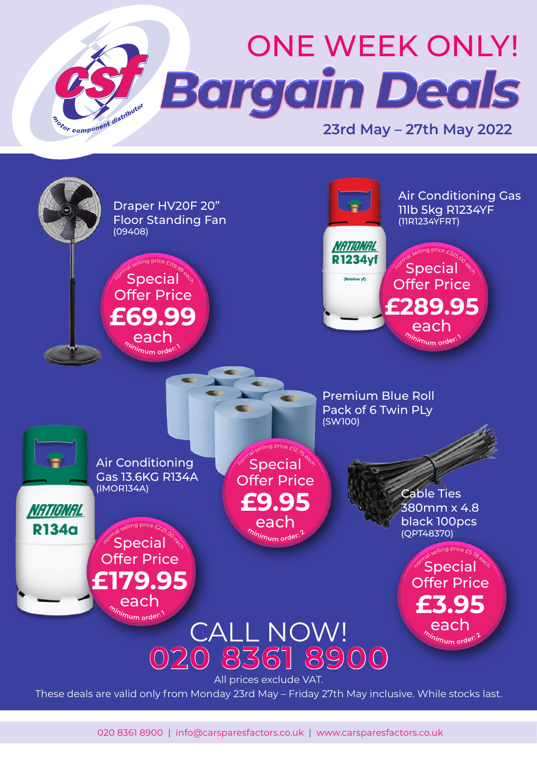



020 8361 8900 | info@carsparesfactors.co.uk | www.carsparesfactors.co.uk